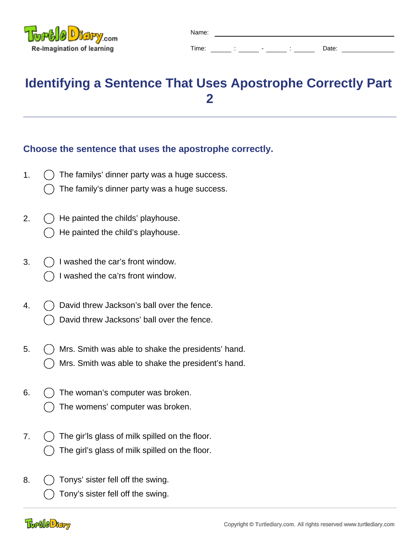

| Name: |        |                          |   |       |  |
|-------|--------|--------------------------|---|-------|--|
| Time: | ٠<br>٠ | $\overline{\phantom{0}}$ | ٠ | Date: |  |

## **Identifying a Sentence That Uses Apostrophe Correctly Part 2**

## **Choose the sentence that uses the apostrophe correctly.**

- 1.  $( )$  The familys' dinner party was a huge success.
	- The family's dinner party was a huge success.
- 2.  $( )$  He painted the childs' playhouse. He painted the child's playhouse.
- 3.  $\bigcirc$  I washed the car's front window.
	- I washed the ca'rs front window.
- 4.  $( )$  David threw Jackson's ball over the fence.
	- David threw Jacksons' ball over the fence.
- 5.  $\bigcap$  Mrs. Smith was able to shake the presidents' hand. Mrs. Smith was able to shake the president's hand.
- 6.  $\left( \right)$  The woman's computer was broken. The womens' computer was broken.
- 7.  $\bigcap$  The gir'ls glass of milk spilled on the floor. The girl's glass of milk spilled on the floor.
- 8.  $\bigcirc$  Tonys' sister fell off the swing. Tony's sister fell off the swing.

## **Togele** Diary